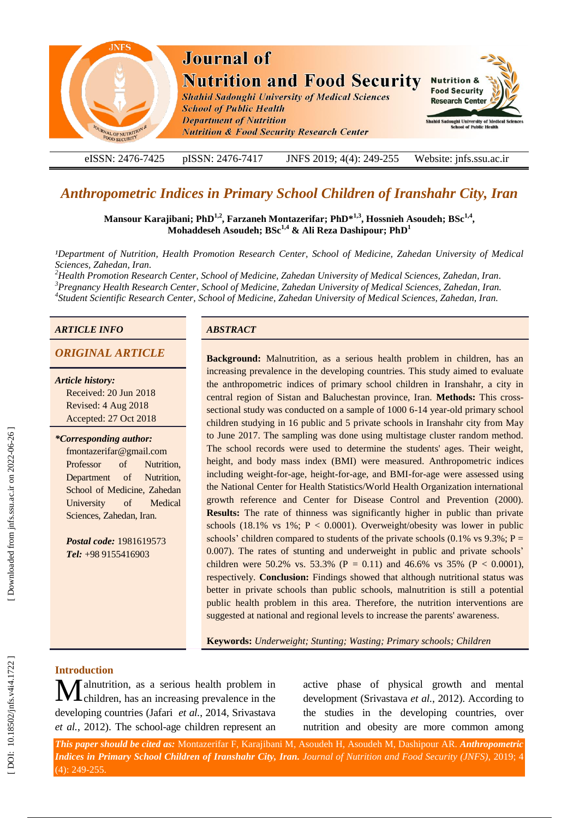

eISSN: 2476-7425 pISSN: 2476-7417 -7417 JNFS 201 9; 4 ( 4): 249 Website: jnfs.ssu.ac.ir

# *Anthropometric Indices in Primary School Children of Iranshahr City, Iran*

**Mansour Karajibani; PhD 1,2 , Farzaneh Montazerifar; PhD \* 1, 3 , Hossnieh Asoudeh ; BSc1,4 , Mohaddeseh Asoudeh; BSc1,4 & Ali Reza Dashipour; PhD 1**

*¹Department of Nutrition, Health Promotion Research Center, School of Medicine, Zahedan University of Medical Sciences, Zahedan, Iran .*

*<sup>2</sup>Health Promotion Research Center, School of Medicine, Zahedan University of Medical Sciences, Zahedan, Iran . <sup>3</sup>Pregnancy Health Research Center, School of Medicine, Zahedan University of Medical Sciences, Zahedan, Iran. <sup>4</sup> Student Scientific Research Center, School of Medicine, Zahedan University of Medical Sciences, Zahedan, Iran.*

## *ARTICLE INFO ABSTRACT*

*Article history:*

Received: 20 Jun 2018 Revised: 4 Aug 2018 Accepted: 27 Oct 2018

### *\*Corresponding author:*

fmontazerifar@gmail.com Professor of Nutrition, Department of Nutrition, School of Medicine, Zahedan University of Medical Sciences, Zahedan, Iran.

*Postal code:* 1981619573 *Tel:* +98 9155416903

*ORIGINAL ARTICLE* **Background:** Malnutrition, as a serious health problem in children, has an increasing prevalence in the developing countries. This study aimed to evaluate the anthropometric indices of primary school children in Iranshahr, a city in central region of Sistan and Baluchestan province, Iran. **Methods:** This cross sectional study was conducted on a sample of 1000 6-14 year-old primary school children studying in 16 public and 5 private schools in Iranshahr city from May to June 2017. The sampling was done using multistage cluster random method. The school records were used to determine the students' ages. Their weight, height, and body mass index (BMI) were measured. Anthropometric indices including weight -for -age, height -for -age, and BMI -for -age were assessed using the National Center for Health Statistics/World Health Organization international growth reference and Center for Disease Control and Prevention (2000). **Results:** The rate of thinness was significantly higher in public than private schools  $(18.1\% \text{ vs } 1\%; P < 0.0001)$ . Overweight/obesity was lower in public schools' children compared to students of the private schools  $(0.1\% \text{ vs } 9.3\%; P =$ 0.007). The rates of stunting and underweight in public and private schools' children were 50.2% vs. 53.3% ( $P = 0.11$ ) and 46.6% vs 35% ( $P < 0.0001$ ), respectively. **Conclusion:** Findings showed that although nutritional status was better in private schools than public schools, malnutrition is still a potential public health problem in this area. Therefore, the nutrition interventions are suggested at national and regional levels to increase the parents' awareness.

**Keywords:** *Underweight ; Stunting ; Wasting ; Primary schools; Children*

## **Introduction**

alnutrition, as a serious health problem in children, has an increasing prevalence in the developing countries (Jafari *et al.*, 2014, Srivastava et al., 2012). The school-age children represent an M

active phase of physical growth and mental development (Srivastava et al., 2012). According to the studies in the developing countries, over nutrition and obesity are more common among

*This paper should be cited as:* Montazerifar F, Karajibani M, Asoudeh H, Asoudeh M, Dashipour AR . *Anthropometric*  **Indices in Primary School Children of Iranshahr City, Iran.** Journal of Nutrition and Food Security (JNFS), 2019; 4 (4): 249 -255.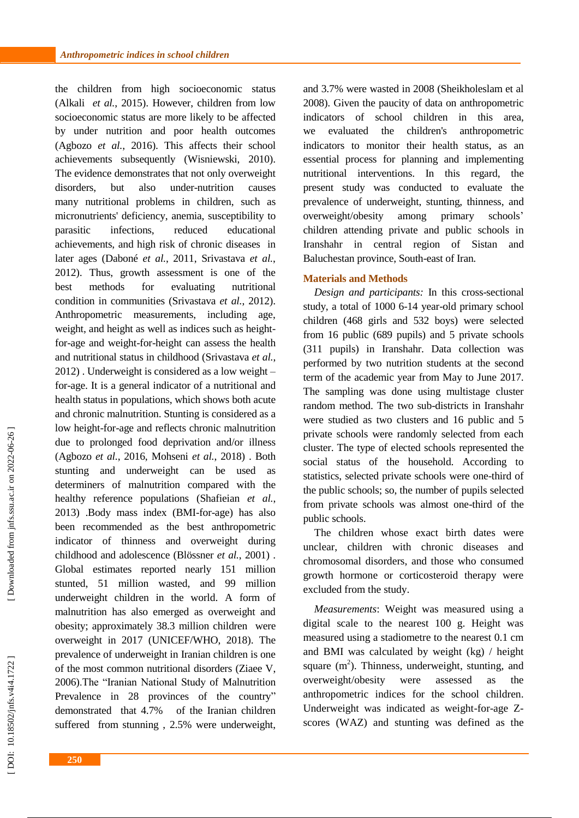the children from high socioeconomic status (Alkali *et al.*, 2015). However, children from low socioeconomic status are more likely to be affected by under nutrition and poor health outcomes (Agbozo *et al.*, 2016). This affects their school achievements subsequently (Wisniewski, 2010 ). The evidence demonstrates that not only overweight disorders, but also under-nutrition causes many nutritional problems in children, such as micronutrients' deficiency, anemia, susceptibility to parasitic infections, reduced educational achievements, and high risk of chronic diseases in later ages (Daboné *et al.*, 2011, Srivastava *et al.*, 2012 ) . Thus, growth assessment is one of the best methods for evaluating nutritional condition in communities (Srivastava *et al.*, 2012 ). Anthropometric measurements, including age, weight, and height as well as indices such as heightfor -age and weight -for -height can assess the health and nutritional status in childhood (Srivastava *et al.*, 2012 ) . Underweight is considered as a low weight – for -age. It is a general indicator of a nutritional and health status in populations, which shows both acute and chronic malnutrition. Stunting is considered as a low height -for -age and reflects chronic malnutrition due to prolonged food deprivation and/or illness (Agbozo *et al.*, 2016, Mohseni *et al.*, 2018) . Both stunting and underweight can be used as determiners of malnutrition compared with the healthy reference populations (Shafieian *et al.*, 2013 ) .Body mass index (BMI -for -age) has also been recommended as the best anthropometric indicator of thinness and overweight during childhood and adolescence (Blössner *et al.*, 2001 ) . Global estimates reported nearly 151 million<br>stunted, 51 million wasted, and 99 million underweight children in the world. A form of malnutrition has also emerged as overweight and obesity ; approximately 38.3 million children were overweight in 2017 (UNICEF/WHO, 2018 ). The prevalence of underweight in Iranian children is one of the most common nutritional disorders (Ziaee V, 2006 ).The "Iranian National Study of Malnutrition Prevalence in 28 provinces of the country" demonstrated that 4.7% of the Iranian children suffered from stunning , 2.5% were underweight ,

**250**

and 3.7% were wasted in 2008 (Sheikholeslam et al 2008 ). Given the paucity of data on anthropometric indicators of school children in this area , we evaluated the children's anthropometric indicators to monitor their health status, as an essential process for planning and implementing nutritional interventions . In this regard , the present study was conducted to evaluate the prevalence of underweight, stunting, thinness , and overweight/obesity among primary schools' children attending private and public schools in Iranshahr in central region of Sistan and Baluchestan province, South -east of Iran*.* 

## **Materials and Methods**

*Design and participants:* In this cross -sectional study, a total of 1000 6 -14 year -old primary school children (468 girls and 532 boys) were selected from 16 public (689 pupils) and 5 private schools (311 pupils) in Iranshahr. Data collection was performed by two nutrition students at the second term of the academic year from May to June 2017 . The sampling was done using multistage cluster random method. The two sub -districts in Iranshahr were studied as two clusters and 16 public and 5 private schools were randomly selected from each cluster. The type of elected schools represented the social status of the household. According to statistics, selected private schools were one -third of the public schools; so, the number of pupils selected from private schools was almost one -third of the public schools.

The children whose exact birth dates were unclear, children with chronic diseases and chromosomal disorders, and those who consume d growth hormone or corticosteroid therapy were excluded from the study.

*Measurements*: Weight was measured using a digital scale to the nearest 100 g. Height was measured using a stadiometre to the nearest 0.1 cm and BMI was calculated by weight ( kg) / height square  $(m^2)$ . Thinness, underweight, stunting, and overweight/obesity were assessed as the anthropometric indices for the school children . Underweight was indicated as weight-for-age Zscores (WAZ) and stunting was defined as the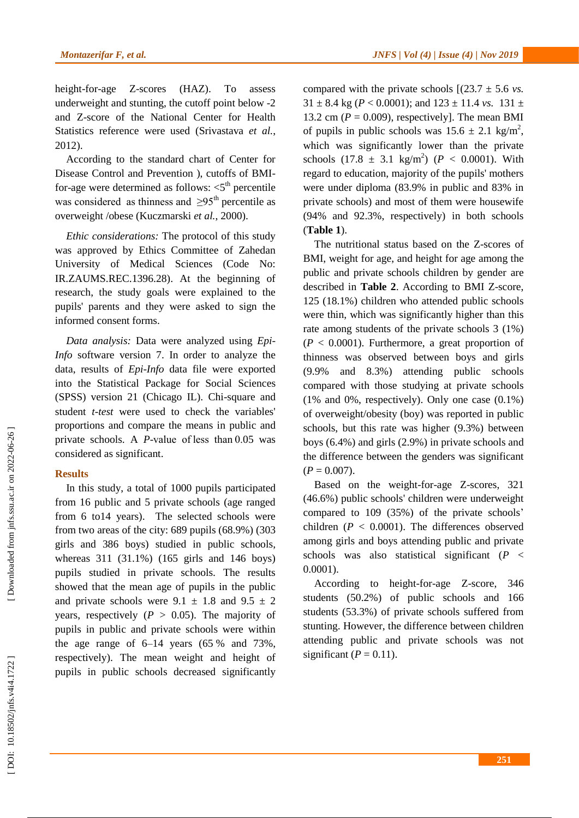height -for -age Z Z-scores (HAZ). To assess underweight and stunting, the cutoff point below - 2 and Z -score of the National Center for Health Statistics reference were used (Srivastava *et al.*, 2012 ).

According to the standard chart of Center for Disease Control and Prevention ), cutoffs of BMI for-age were determined as follows:  $\lt 5^{\text{th}}$  percentile was considered as thinness and  $\geq 95^{\text{th}}$  percentile as overweight /obese (Kuczmarski *et al.*, 2000 ) .

*Ethic considerations:* The protocol of this study was approved by Ethics Committee of Zahedan University of Medical Sciences (Code No: IR.ZAUMS.REC.1396.28). At the beginning of research, the study goals were explained to the pupils' parents and they were asked to sign the informed consent forms.

*Data analysis :* Data were analyzed using *Epi - Info* software version 7. In order to analyze the data, results of *Epi -Info* data file were exported into the Statistical Package for Social Sciences (SPSS) version 21 (Chicago IL). Chi -square and student *t -test* were used to check the variables' proportions and compare the means in public and private schools. A *P*-value of less than 0.05 was considered as significant.

## **Results**

In this study, a total of 1000 pupils participated from 16 public and 5 private schools (age ranged from 6 to14 years). The selected schools were from two areas of the city : 689 pupils (68.9%) (303 girls and 386 boys) studied in public schools , whereas 311 (31.1%) (165 girls and 146 boys) pupils studied in private schools. The results showed that the mean age of pupils in the public and private schools were  $9.1 \pm 1.8$  and  $9.5 \pm 2$ years, respectively  $(P > 0.05)$ . The majority of pupils in public and private schools were within the age range of 6 –14 years (65 % and 73%, respectively). The mean weight and height of pupils in public schools decreased significantly

compared with the private schools  $[(23.7 \pm 5.6 \text{ vs.})]$  $31 \pm 8.4$  kg ( $P < 0.0001$ ); and  $123 \pm 11.4$  *vs.*  $131 \pm 1.4$ 13.2 cm ( $P = 0.009$ ), respectively]. The mean BMI of pupils in public schools was  $15.6 \pm 2.1$  kg/m<sup>2</sup>, which was significantly lower than the private schools  $(17.8 \pm 3.1 \text{ kg/m}^2)$  ( $P < 0.0001$ ). With regard to education, majority of the pupils' mothers were under diploma (83.9% in public and 83% in private schools) and most of them were housewife (94% and 92.3%, respectively) in both schools (**Table <sup>1</sup>**).

The nutritional status based on the Z -scores of BMI, weight for age, and height for age among the public and private schools children by gender are described in **[Table 2](https://www.ncbi.nlm.nih.gov/pmc/articles/PMC4476001/table/T2/)**. According to BMI Z -score, 125 (18.1%) children who attended public schools were thin, which was significantly higher than this rate among students of the private schools 3 (1%) (*<sup>P</sup>* <sup>&</sup>lt; 0.0001). Furthermore, a great proportion of thinness was observed between boys and girls (9.9% and 8.3%) attending public schools compared with those studying at private schools (1% and 0%, respectively). Only one case (0.1%) of overweight/obesity (boy) was reported in public schools, but this rate was higher (9.3%) between boys (6.4%) and girls (2.9%) in private schools and the difference between the genders was significant (*<sup>P</sup>* <sup>=</sup> 0.007).

Based on the weight -for -age Z -scores, 321 (46.6%) public schools' children were underweight compared to 109 (35%) of the private schools ' children  $(P < 0.0001)$ . The differences observed among girls and boys attending public and private schools was also statistical significant (P < 0.0001).

According to height -for -age Z -score, 346 students (50.2%) of public schools and 166 students (53.3%) of private schools suffered from stunting. However, the difference between children attending public and private schools was not significant  $(P = 0.11)$ .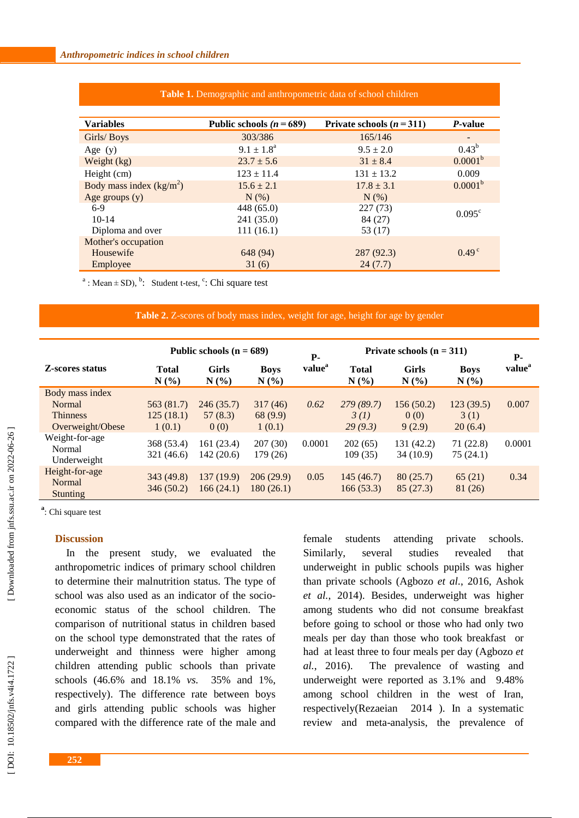| <b>Variables</b>          | Public schools ( $n = 689$ ) | Private schools $(n=311)$ | <i>P</i> -value          |
|---------------------------|------------------------------|---------------------------|--------------------------|
| Girls/Boys                | 303/386                      | 165/146                   | $\overline{\phantom{0}}$ |
| Age $(y)$                 | $9.1 \pm 1.8^{\text{a}}$     | $9.5 \pm 2.0$             | $0.43^b$                 |
| Weight $(kg)$             | $23.7 \pm 5.6$               | $31 \pm 8.4$              | 0.0001 <sup>b</sup>      |
| Height (cm)               | $123 \pm 11.4$               | $131 \pm 13.2$            | 0.009                    |
| Body mass index $(kg/m2)$ | $15.6 \pm 2.1$               | $17.8 \pm 3.1$            | 0.0001 <sup>b</sup>      |
| Age groups $(y)$          | $N$ $(\%)$                   | N(%)                      |                          |
| $6-9$                     | 448 (65.0)                   | 227(73)                   | $0.095^{\circ}$          |
| $10-14$                   | 241 (35.0)                   | 84 (27)                   |                          |
| Diploma and over          | 111(16.1)                    | 53 (17)                   |                          |
| Mother's occupation       |                              |                           |                          |
| Housewife                 | 648 (94)                     | 287 (92.3)                | $0.49^{\circ}$           |
| Employee                  | 31(6)                        | 24(7.7)                   |                          |

**Table 1.** Demographic and anthropometric data of school children

<sup>a</sup>: Mean  $\pm$  SD), <sup>b</sup>: Student t-test, <sup>c</sup>: Chi square test

### Table 2. Z-scores of body mass index, weight for age, height for age by gender

|                                                                  | Public schools $(n = 689)$        |                              |                               | Private schools $(n = 311)$      |                              |                             |                              |                                  |
|------------------------------------------------------------------|-----------------------------------|------------------------------|-------------------------------|----------------------------------|------------------------------|-----------------------------|------------------------------|----------------------------------|
| Z-scores status                                                  | <b>Total</b><br>$N(\%)$           | <b>Girls</b><br>$N(\%)$      | <b>Boys</b><br>$N(\%)$        | <b>P</b> -<br>value <sup>a</sup> | <b>Total</b><br>$N(\%)$      | <b>Girls</b><br>$N(\%)$     | <b>Boys</b><br>$N(\%)$       | <b>P</b> -<br>value <sup>a</sup> |
| Body mass index<br>Normal<br><b>Thinness</b><br>Overweight/Obese | 563 (81.7)<br>125(18.1)<br>1(0.1) | 246(35.7)<br>57(8.3)<br>0(0) | 317(46)<br>68 (9.9)<br>1(0.1) | 0.62                             | 279(89.7)<br>3(1)<br>29(9.3) | 156(50.2)<br>0(0)<br>9(2.9) | 123(39.5)<br>3(1)<br>20(6.4) | 0.007                            |
| Weight-for-age<br>Normal<br>Underweight                          | 368 (53.4)<br>321 (46.6)          | 161 (23.4)<br>142 (20.6)     | 207(30)<br>179 (26)           | 0.0001                           | 202(65)<br>109 (35)          | 131 (42.2)<br>34 (10.9)     | 71 (22.8)<br>75 (24.1)       | 0.0001                           |
| Height-for-age<br><b>Normal</b><br><b>Stunting</b>               | 343 (49.8)<br>346(50.2)           | 137 (19.9)<br>166(24.1)      | 206(29.9)<br>180(26.1)        | 0.05                             | 145(46.7)<br>166(53.3)       | 80(25.7)<br>85(27.3)        | 65(21)<br>81 (26)            | 0.34                             |

**a** : Chi square test

## **Discussion**

In the present study, we evaluated the anthropometric indices of primary school children to determine their malnutrition status. The type of school was also used as an indicator of the socio economic status of the school children. The comparison of nutritional status in children based on the school type demonstrated that the rates of underweight and thinness were higher among children attending public schools than private schools (46.6% and 18.1% *vs.* 35% and 1%, respectively) . The difference rate between boys and girls attending public schools was higher compared with the difference rate of the male and

female students attending private schools. [Similarly,](https://www.ncbi.nlm.nih.gov/pubmed/?term=Srivastava%20A%5BAuthor%5D&cauthor=true&cauthor_uid=22958757) several studies revealed that underweight in public schools pupils was higher than private schools (Agbozo *et al.*, 2016, Ashok *et al.*, 2014 ) . Besides, underweight was higher among students who did not consume breakfast before going to school or those who had only two meals per day than those who took breakfast or had at least three to four meals per day (Agbozo *et al.*, 2016 ). The prevalence of wasting and underweight were reported as 3.1% and 9.48% among school children in the west of Iran, respectively (Rezaeian 2014 ) . In a systematic review and meta -analysis , t he prevalence of

**252**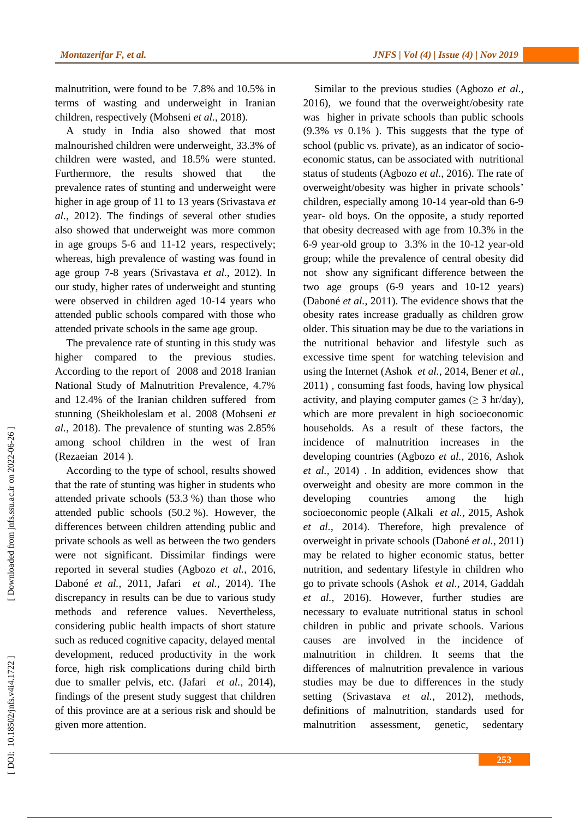malnutrition, were found to be 7.8% and 10.5% in terms of wasting and underweight in Iranian children, respectively (Mohseni et al., 2018).

A study in India also showed that most malnourished children were underweight , 33.3% of children were wasted , and 18.5% were stunted. Furthermore, the results showed that the prevalence rates of stunting and underweight were higher in age group of 11 to 13 year**s**  (Srivastava *et al.*, 2012 ). The findings of several other studies also showed that underweight was more common in age group s 5 -6 and 11 -12 years, respectively ; whereas , high prevalence of wasting was found in age group 7 -8 years (Srivastava *et al.*, 2012 ) . In our study, higher rates of underweight and stunting were observed in children aged 10 -14 years who attended public schools compared with those who attended private schools in the same age group.

The prevalence rate of stunting in this study was higher compared to the previous studies. According to the report of 2008 and 2018 Iranian National Study of Malnutrition Prevalence , 4.7% and 12.4% of the Iranian children suffered from stunning (Sheikholeslam et al . 2008 (Mohseni *et al.*, 2018 ) . The prevalence of stunting was 2.85% among school children in the west of Iran (Rezaeian 2014 ).

According to the type of school, results showed that t h e rate of stunting was higher in students who attended private schools (53.3 %) than those who attended public schools (50.2 %). However, the differences between children attending public and private schools as well as between the two genders were not significant. Dissimilar findings were reported in several studies (Agbozo *et al.*, 2016, Daboné *et al.*, 2011, Jafari *et al.*, 2014 ). The discrepancy in results can be due to various study methods and reference values. Nevertheless, considering public health impacts of short stature such as reduced cognitive capacity, delayed mental development, reduced productivity in the work force, high risk complications during child birth due to smaller pelvis, etc. (Jafari *et al.*, 2014), findings of the present study suggest that children of this province are at a serious risk and should be given more attention.

Similar to the previous studies (Agbozo *et al.*, 2016 ), we found that the overweight/obesity rate was higher in private schools than public schools (9.3% *vs* 0.1% ). This suggests that the type of school (public vs. private), as an indicator of socioeconomic status , can be associated with nutritional status of students (Agbozo *et al.*, 2016 ) . The rate of overweight/obesity was higher in private schools ' children, especially among 10 -14 year -old than 6 -9 year - old boys. On the opposite, a study reported that obesity decrease d with age from 10.3% in the 6 -9 year -old group to 3.3% in the 10 -12 year -old group ; while the prevalence of central obesity did not show any significant difference between the two age groups (6 -9 years and 10 -12 years) (Daboné *et al.*, 2011 ) . The evidence shows that the obesity rates increase gradually as children grow older. This situation may be due to the variations in the nutritional behavior and lifestyle such as excessive time spent for watching television and using the Internet (Ashok *et al.*, 2014, Bener *et al.*, 2011 ) , consuming fast foods, having low physical activity, and playing computer games ( $\geq 3$  hr/day), which are more prevalent in high socioeconomic households. As a result of these factors, the incidence of malnutrition increases in the developing countries (Agbozo *et al.*, 2016, Ashok *et al.*, 2014 ) . In addition, evidences show that overweight and obesity are more common in the developing countries among the high socioeconomic people (Alkali *et al.*, 2015, Ashok *et al.* , 2014 ). Therefore , high prevalence of overweight in private schools (Daboné *et al.*, 2011 ) may be related to higher economic status, better nutrition , and sedentary lifestyle in children who go to private schools (Ashok *et al.*, 2014, Gaddah *et al.*, 2016 ) . However, further studies are necessary to evaluat e nutritional status in school children in public and private schools. Various causes are involved in the incidence of malnutrition in children. It seems that the differences of malnutrition prevalence in various studies may be due to differences in the study setting (Srivastava et al., 2012), methods, definitions of malnutrition, standards used for malnutrition assessment, genetic, sedentary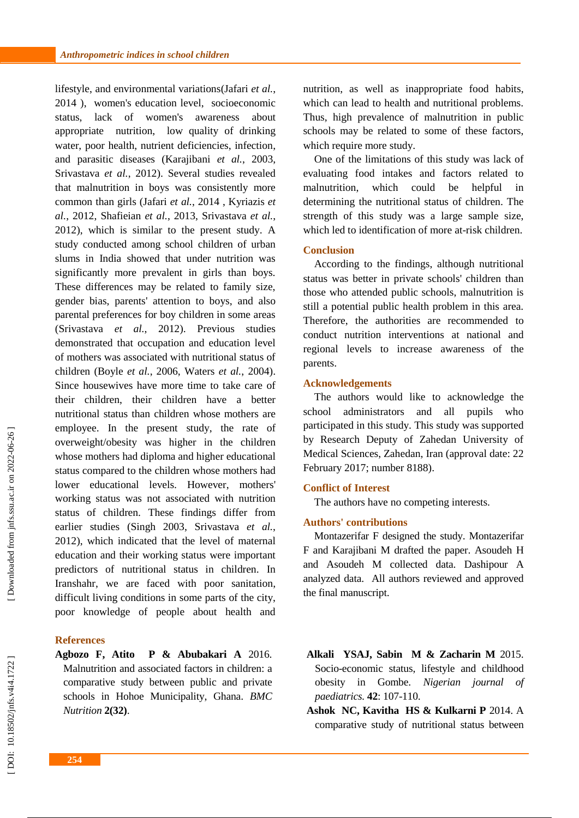lifestyle, and environmental variations (Jafari *et al.*, 2014 ), women's education level, socioeconomic status, lack of women's awareness about appropriate nutrition, low quality of drinking water, poor health, nutrient deficiencies, infection , and parasitic diseases (Karajibani *et al.*, 2003, Srivastava *et al.*, 2012 ) . Several studies revealed that malnutrition in boys was consistently more common than girls (Jafari *et al.* , 2014 , Kyriazis *et al.*, 2012, Shafieian *et al.*, 2013, Srivastava *et al.*, 2012 ) , which is similar to the present study. A study conducted among school children of urban slums in India showed that under nutrition was significantly more prevalent in girls than boys. These differences may be related to family size, gender bias, parents' attention to boys , and also parental preferences for boy children in some areas (Srivastava *et al.*, 2012). Previous studies demonstrated that occupation and education level of mothers was associate d with nutritional status of children (Boyle *et al.*, 2006, Waters *et al.*, 2004 ). Since housewives have more time to take care of their children, their children have a better nutritional status than children whose mothers are employee. In the present study, the rate of overweight/obesity was higher in the children whose mothers had diploma and higher educational status compared to the children whose mothers had lower educational levels . However, mothers' working status was not associate d with nutrition status of children. These findings differ from earlier studies (Singh 2003, Srivastava *et al.*, 2012 ), which indicated that the level of maternal education and their working status were important predictors of nutritional status in children. In Iranshahr, we are faced with poor sanitation , difficult living conditions in some parts of the city, poor knowledge of people about health and

## **References**

**Agbozo F, Atito P & Abubakari A** 2016. Malnutrition and associated factors in children: a comparative study between public and private schools in Hohoe Municipality, Ghana. *BMC Nutrition* **2(32)** .

nutrition , as well as inappropriate food habits, which can lead to health and nutritional problems. Thus, high prevalence of malnutrition in public schools may be related to some of these factors, which require more study.

One of the limitations of this study wa s lack of evaluating food intakes and factors related to malnutrition, which could be helpful in determining the nutritional status of children. The strength of this study was a large sample size, which led to identification of more at-risk children.

## **Conclusion**

According to the findings , although nutritional status was better in private schools' children than those who attended public school s, malnutrition is still a potential public health problem in this area. Therefore, the authorities are recommended to conduct nutrition interventions at national and regional levels to increase awareness of the parents.

## **Acknowledgements**

The authors would like to acknowledge the school administrators and all pupils who participated in this study. This study was supported by Research Deputy of Zahedan University of Medical Sciences, Zahedan, Iran (approval date: 22 February 2017; number 8188).

## **Conflict of Interest**

The authors have no competing interests.

## **Authors' contributions**

Montazerifar F designed the study. Montazerifar F and Karajibani M drafted the paper. Asoudeh H and Asoudeh M collected data. Dashipour A analyzed data. All authors reviewed and approved the final manuscript.

- **Alkali YSAJ, Sabin M & Zacharin M** 2015. Socio -economic status, lifestyle and childhood obesity in Gombe. *Nigerian journal of paediatrics.* **42**: 107 -110.
- **Ashok NC, Kavitha HS & Kulkarni P** 2014. A comparative study of nutritional status between